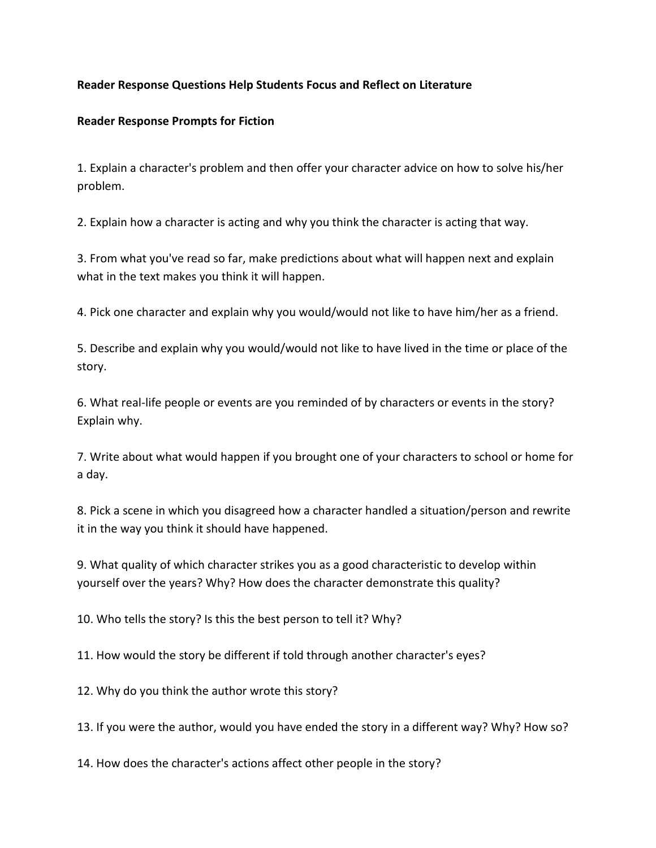## **Reader Response Questions Help Students Focus and Reflect on Literature**

## **Reader Response Prompts for Fiction**

1. Explain a character's problem and then offer your character advice on how to solve his/her problem.

2. Explain how a character is acting and why you think the character is acting that way.

3. From what you've read so far, make predictions about what will happen next and explain what in the text makes you think it will happen.

4. Pick one character and explain why you would/would not like to have him/her as a friend.

5. Describe and explain why you would/would not like to have lived in the time or place of the story.

6. What real-life people or events are you reminded of by characters or events in the story? Explain why.

7. Write about what would happen if you brought one of your characters to school or home for a day.

8. Pick a scene in which you disagreed how a character handled a situation/person and rewrite it in the way you think it should have happened.

9. What quality of which character strikes you as a good characteristic to develop within yourself over the years? Why? How does the character demonstrate this quality?

10. Who tells the story? Is this the best person to tell it? Why?

11. How would the story be different if told through another character's eyes?

12. Why do you think the author wrote this story?

13. If you were the author, would you have ended the story in a different way? Why? How so?

14. How does the character's actions affect other people in the story?